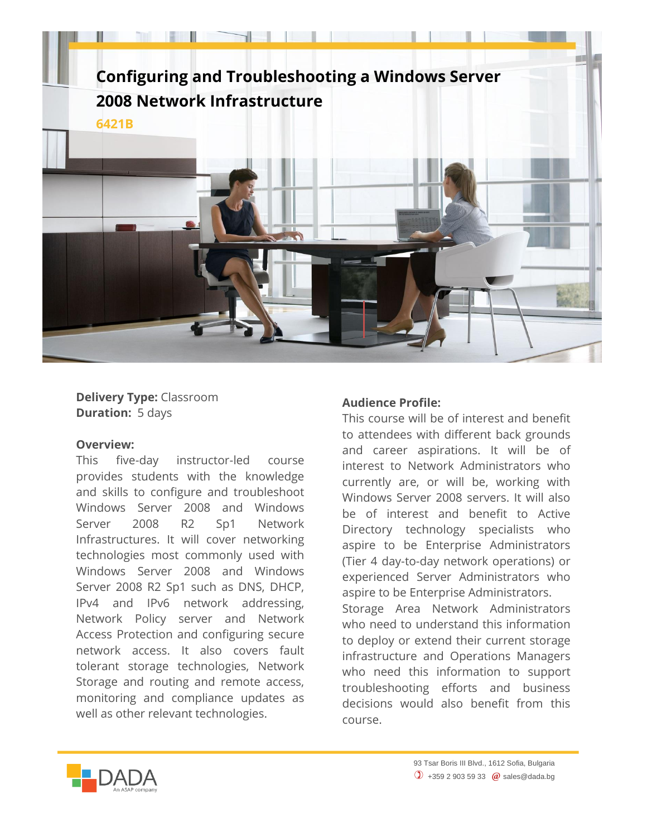

**Delivery Type:** Classroom **Duration:** 5 days

## **Overview:**

This five-day instructor-led course provides students with the knowledge and skills to configure and troubleshoot Windows Server 2008 and Windows Server 2008 R2 Sp1 Network Infrastructures. It will cover networking technologies most commonly used with Windows Server 2008 and Windows Server 2008 R2 Sp1 such as DNS, DHCP, IPv4 and IPv6 network addressing, Network Policy server and Network Access Protection and configuring secure network access. It also covers fault tolerant storage technologies, Network Storage and routing and remote access, monitoring and compliance updates as well as other relevant technologies.

## **Audience Profile:**

This course will be of interest and benefit to attendees with different back grounds and career aspirations. It will be of interest to Network Administrators who currently are, or will be, working with Windows Server 2008 servers. It will also be of interest and benefit to Active Directory technology specialists who aspire to be Enterprise Administrators (Tier 4 day-to-day network operations) or experienced Server Administrators who aspire to be Enterprise Administrators. Storage Area Network Administrators who need to understand this information to deploy or extend their current storage infrastructure and Operations Managers who need this information to support troubleshooting efforts and business decisions would also benefit from this course.